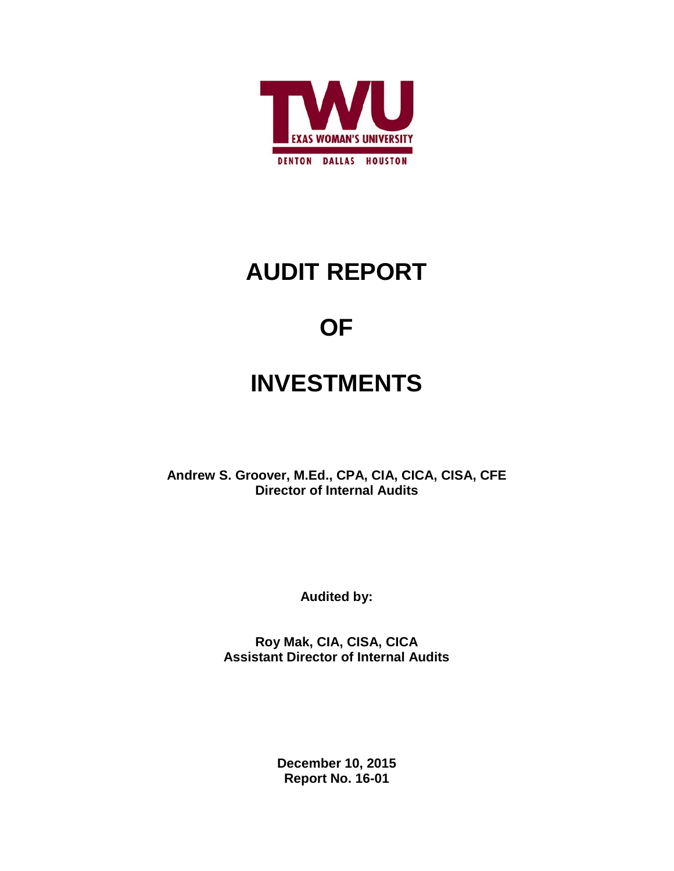

# **AUDIT REPORT**

# **OF**

# **INVESTMENTS**

**Andrew S. Groover, M.Ed., CPA, CIA, CICA, CISA, CFE Director of Internal Audits**

**Audited by:**

**Roy Mak, CIA, CISA, CICA Assistant Director of Internal Audits**

> **December 10, 2015 Report No. 16-01**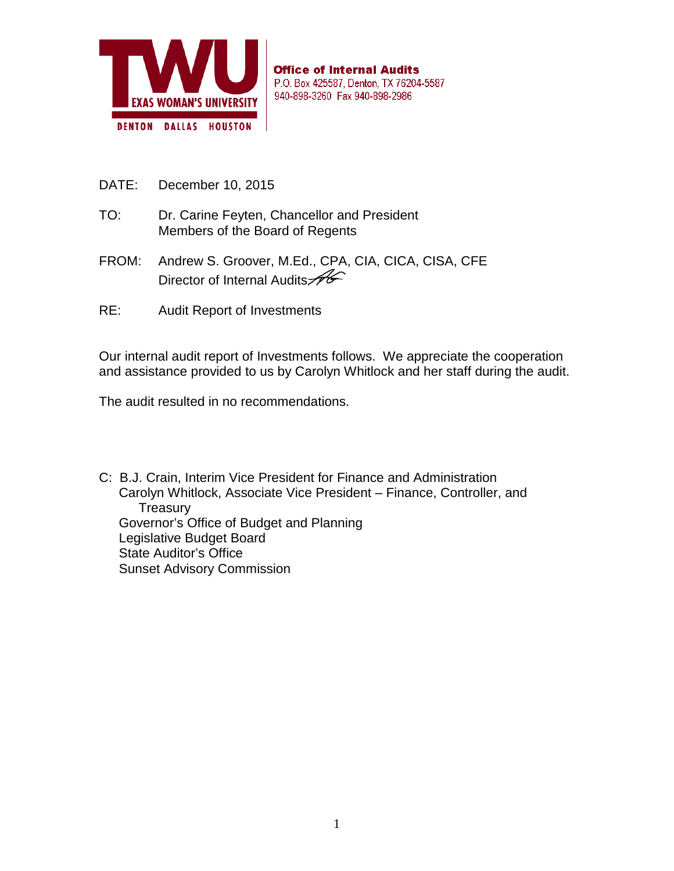

**Office of Internal Audits** P.O. Box 425587, Denton, TX 76204-5587 940-898-3260 Fax 940-898-2986

- DATE: December 10, 2015
- TO: Dr. Carine Feyten, Chancellor and President Members of the Board of Regents
- FROM: Andrew S. Groover, M.Ed., CPA, CIA, CICA, CISA, CFE Director of Internal Audits
- RE: Audit Report of Investments

Our internal audit report of Investments follows. We appreciate the cooperation and assistance provided to us by Carolyn Whitlock and her staff during the audit.

The audit resulted in no recommendations.

C: B.J. Crain, Interim Vice President for Finance and Administration Carolyn Whitlock, Associate Vice President – Finance, Controller, and **Treasury** Governor's Office of Budget and Planning Legislative Budget Board State Auditor's Office Sunset Advisory Commission